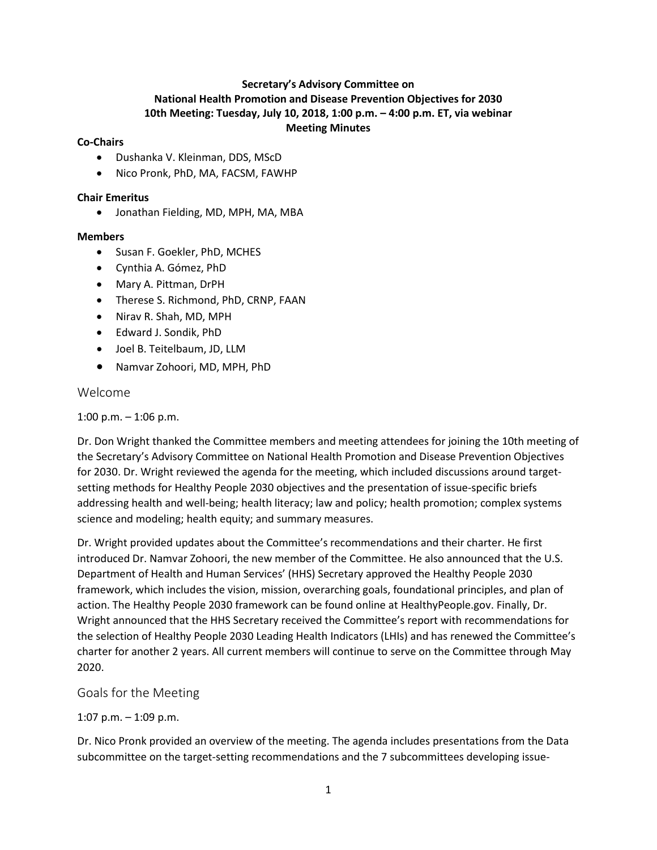### **Secretary's Advisory Committee on National Health Promotion and Disease Prevention Objectives for 2030 10th Meeting: Tuesday, July 10, 2018, 1:00 p.m. – 4:00 p.m. ET, via webinar Meeting Minutes**

#### **Co-Chairs**

- Dushanka V. Kleinman, DDS, MScD
- Nico Pronk, PhD, MA, FACSM, FAWHP

#### **Chair Emeritus**

• Jonathan Fielding, MD, MPH, MA, MBA

#### **Members**

- Susan F. Goekler, PhD, MCHES
- Cynthia A. Gómez, PhD
- Mary A. Pittman, DrPH
- Therese S. Richmond, PhD, CRNP, FAAN
- Nirav R. Shah, MD, MPH
- Edward J. Sondik, PhD
- Joel B. Teitelbaum, JD, LLM
- Namvar Zohoori, MD, MPH, PhD

#### Welcome

1:00 p.m.  $-$  1:06 p.m.

Dr. Don Wright thanked the Committee members and meeting attendees for joining the 10th meeting of the Secretary's Advisory Committee on National Health Promotion and Disease Prevention Objectives for 2030. Dr. Wright reviewed the agenda for the meeting, which included discussions around targetsetting methods for Healthy People 2030 objectives and the presentation of issue-specific briefs addressing health and well-being; health literacy; law and policy; health promotion; complex systems science and modeling; health equity; and summary measures.

Dr. Wright provided updates about the Committee's recommendations and their charter. He first introduced Dr. Namvar Zohoori, the new member of the Committee. He also announced that the U.S. Department of Health and Human Services' (HHS) Secretary approved the Healthy People 2030 framework, which includes the vision, mission, overarching goals, foundational principles, and plan of action. The Healthy People 2030 framework can be found online at HealthyPeople.gov. Finally, Dr. Wright announced that the HHS Secretary received the Committee's report with recommendations for the selection of Healthy People 2030 Leading Health Indicators (LHIs) and has renewed the Committee's charter for another 2 years. All current members will continue to serve on the Committee through May 2020.

## Goals for the Meeting

#### 1:07 p.m. – 1:09 p.m.

Dr. Nico Pronk provided an overview of the meeting. The agenda includes presentations from the Data subcommittee on the target-setting recommendations and the 7 subcommittees developing issue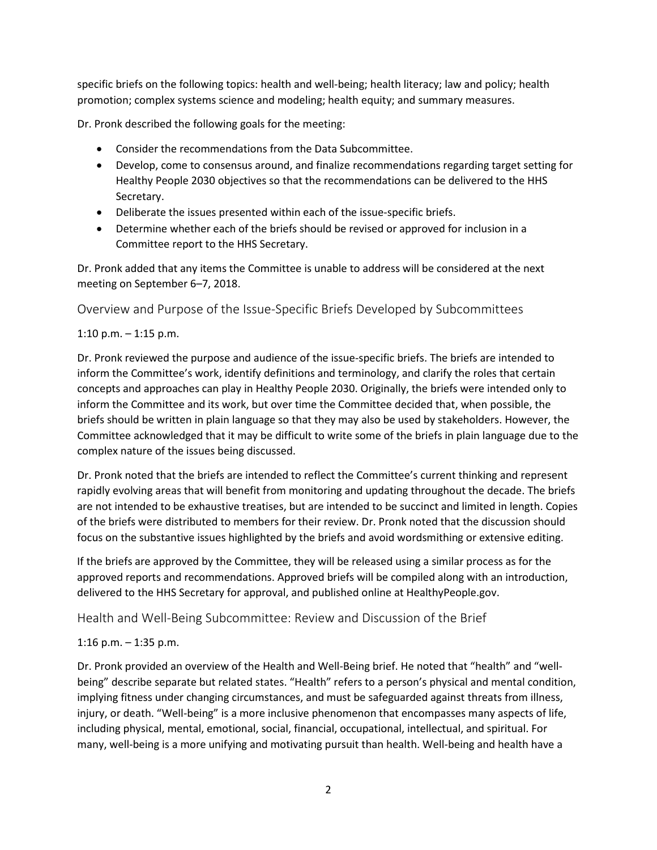specific briefs on the following topics: health and well-being; health literacy; law and policy; health promotion; complex systems science and modeling; health equity; and summary measures.

Dr. Pronk described the following goals for the meeting:

- Consider the recommendations from the Data Subcommittee.
- Develop, come to consensus around, and finalize recommendations regarding target setting for Healthy People 2030 objectives so that the recommendations can be delivered to the HHS Secretary.
- Deliberate the issues presented within each of the issue-specific briefs.
- Determine whether each of the briefs should be revised or approved for inclusion in a Committee report to the HHS Secretary.

Dr. Pronk added that any items the Committee is unable to address will be considered at the next meeting on September 6–7, 2018.

Overview and Purpose of the Issue-Specific Briefs Developed by Subcommittees

## 1:10 p.m.  $-$  1:15 p.m.

Dr. Pronk reviewed the purpose and audience of the issue-specific briefs. The briefs are intended to inform the Committee's work, identify definitions and terminology, and clarify the roles that certain concepts and approaches can play in Healthy People 2030. Originally, the briefs were intended only to inform the Committee and its work, but over time the Committee decided that, when possible, the briefs should be written in plain language so that they may also be used by stakeholders. However, the Committee acknowledged that it may be difficult to write some of the briefs in plain language due to the complex nature of the issues being discussed.

Dr. Pronk noted that the briefs are intended to reflect the Committee's current thinking and represent rapidly evolving areas that will benefit from monitoring and updating throughout the decade. The briefs are not intended to be exhaustive treatises, but are intended to be succinct and limited in length. Copies of the briefs were distributed to members for their review. Dr. Pronk noted that the discussion should focus on the substantive issues highlighted by the briefs and avoid wordsmithing or extensive editing.

If the briefs are approved by the Committee, they will be released using a similar process as for the approved reports and recommendations. Approved briefs will be compiled along with an introduction, delivered to the HHS Secretary for approval, and published online at HealthyPeople.gov.

Health and Well-Being Subcommittee: Review and Discussion of the Brief

# 1:16 p.m. – 1:35 p.m.

Dr. Pronk provided an overview of the Health and Well-Being brief. He noted that "health" and "wellbeing" describe separate but related states. "Health" refers to a person's physical and mental condition, implying fitness under changing circumstances, and must be safeguarded against threats from illness, injury, or death. "Well-being" is a more inclusive phenomenon that encompasses many aspects of life, including physical, mental, emotional, social, financial, occupational, intellectual, and spiritual. For many, well-being is a more unifying and motivating pursuit than health. Well-being and health have a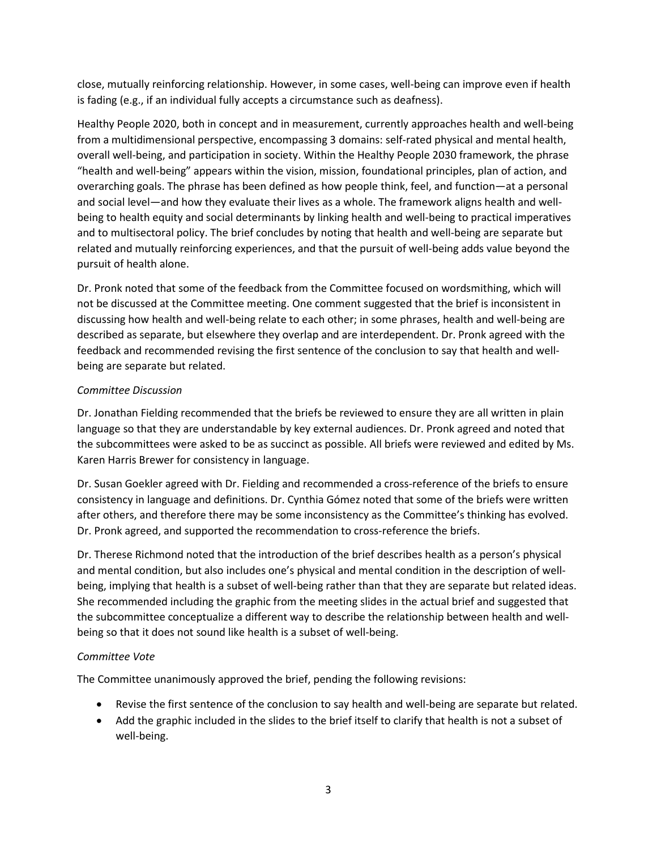close, mutually reinforcing relationship. However, in some cases, well-being can improve even if health is fading (e.g., if an individual fully accepts a circumstance such as deafness).

Healthy People 2020, both in concept and in measurement, currently approaches health and well-being from a multidimensional perspective, encompassing 3 domains: self-rated physical and mental health, overall well-being, and participation in society. Within the Healthy People 2030 framework, the phrase "health and well-being" appears within the vision, mission, foundational principles, plan of action, and overarching goals. The phrase has been defined as how people think, feel, and function—at a personal and social level—and how they evaluate their lives as a whole. The framework aligns health and wellbeing to health equity and social determinants by linking health and well-being to practical imperatives and to multisectoral policy. The brief concludes by noting that health and well-being are separate but related and mutually reinforcing experiences, and that the pursuit of well-being adds value beyond the pursuit of health alone.

Dr. Pronk noted that some of the feedback from the Committee focused on wordsmithing, which will not be discussed at the Committee meeting. One comment suggested that the brief is inconsistent in discussing how health and well-being relate to each other; in some phrases, health and well-being are described as separate, but elsewhere they overlap and are interdependent. Dr. Pronk agreed with the feedback and recommended revising the first sentence of the conclusion to say that health and wellbeing are separate but related.

### *Committee Discussion*

Dr. Jonathan Fielding recommended that the briefs be reviewed to ensure they are all written in plain language so that they are understandable by key external audiences. Dr. Pronk agreed and noted that the subcommittees were asked to be as succinct as possible. All briefs were reviewed and edited by Ms. Karen Harris Brewer for consistency in language.

Dr. Susan Goekler agreed with Dr. Fielding and recommended a cross-reference of the briefs to ensure consistency in language and definitions. Dr. Cynthia Gómez noted that some of the briefs were written after others, and therefore there may be some inconsistency as the Committee's thinking has evolved. Dr. Pronk agreed, and supported the recommendation to cross-reference the briefs.

Dr. Therese Richmond noted that the introduction of the brief describes health as a person's physical and mental condition, but also includes one's physical and mental condition in the description of wellbeing, implying that health is a subset of well-being rather than that they are separate but related ideas. She recommended including the graphic from the meeting slides in the actual brief and suggested that the subcommittee conceptualize a different way to describe the relationship between health and wellbeing so that it does not sound like health is a subset of well-being.

#### *Committee Vote*

The Committee unanimously approved the brief, pending the following revisions:

- Revise the first sentence of the conclusion to say health and well-being are separate but related.
- Add the graphic included in the slides to the brief itself to clarify that health is not a subset of well-being.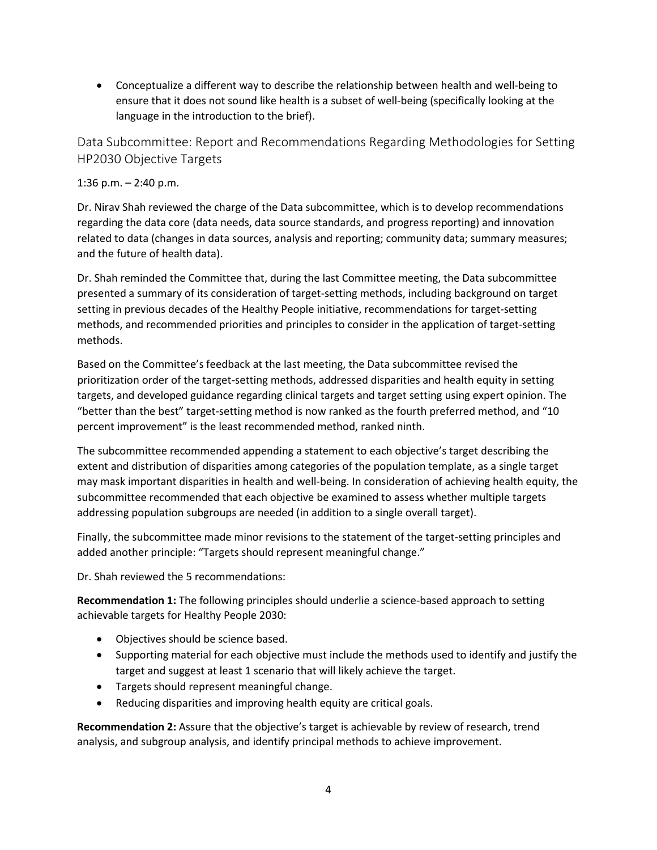• Conceptualize a different way to describe the relationship between health and well-being to ensure that it does not sound like health is a subset of well-being (specifically looking at the language in the introduction to the brief).

Data Subcommittee: Report and Recommendations Regarding Methodologies for Setting HP2030 Objective Targets

### 1:36 p.m. – 2:40 p.m.

Dr. Nirav Shah reviewed the charge of the Data subcommittee, which is to develop recommendations regarding the data core (data needs, data source standards, and progress reporting) and innovation related to data (changes in data sources, analysis and reporting; community data; summary measures; and the future of health data).

Dr. Shah reminded the Committee that, during the last Committee meeting, the Data subcommittee presented a summary of its consideration of target-setting methods, including background on target setting in previous decades of the Healthy People initiative, recommendations for target-setting methods, and recommended priorities and principles to consider in the application of target-setting methods.

Based on the Committee's feedback at the last meeting, the Data subcommittee revised the prioritization order of the target-setting methods, addressed disparities and health equity in setting targets, and developed guidance regarding clinical targets and target setting using expert opinion. The "better than the best" target-setting method is now ranked as the fourth preferred method, and "10 percent improvement" is the least recommended method, ranked ninth.

The subcommittee recommended appending a statement to each objective's target describing the extent and distribution of disparities among categories of the population template, as a single target may mask important disparities in health and well-being. In consideration of achieving health equity, the subcommittee recommended that each objective be examined to assess whether multiple targets addressing population subgroups are needed (in addition to a single overall target).

Finally, the subcommittee made minor revisions to the statement of the target-setting principles and added another principle: "Targets should represent meaningful change."

Dr. Shah reviewed the 5 recommendations:

**Recommendation 1:** The following principles should underlie a science-based approach to setting achievable targets for Healthy People 2030:

- Objectives should be science based.
- Supporting material for each objective must include the methods used to identify and justify the target and suggest at least 1 scenario that will likely achieve the target.
- Targets should represent meaningful change.
- Reducing disparities and improving health equity are critical goals.

**Recommendation 2:** Assure that the objective's target is achievable by review of research, trend analysis, and subgroup analysis, and identify principal methods to achieve improvement.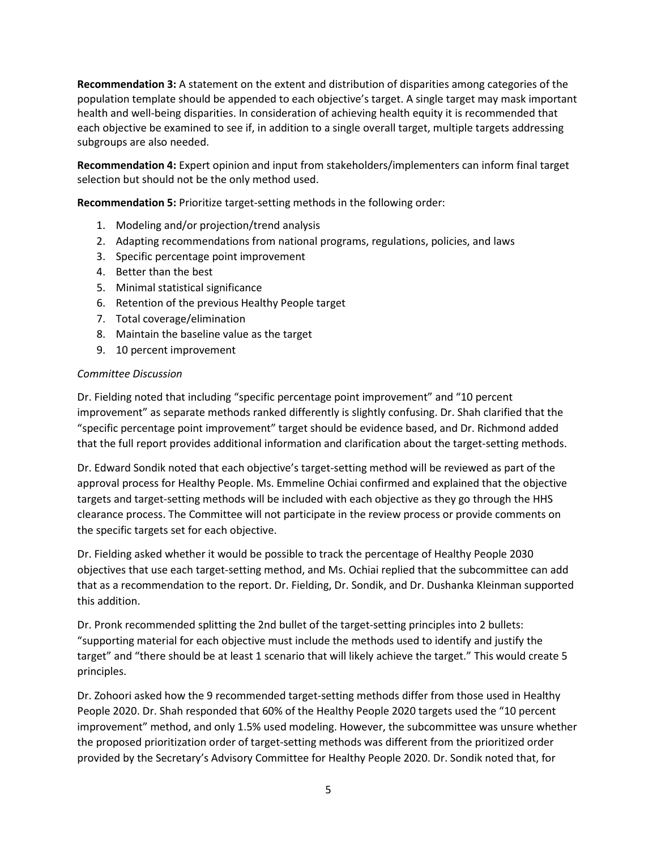**Recommendation 3:** A statement on the extent and distribution of disparities among categories of the population template should be appended to each objective's target. A single target may mask important health and well-being disparities. In consideration of achieving health equity it is recommended that each objective be examined to see if, in addition to a single overall target, multiple targets addressing subgroups are also needed.

**Recommendation 4:** Expert opinion and input from stakeholders/implementers can inform final target selection but should not be the only method used.

**Recommendation 5:** Prioritize target-setting methods in the following order:

- 1. Modeling and/or projection/trend analysis
- 2. Adapting recommendations from national programs, regulations, policies, and laws
- 3. Specific percentage point improvement
- 4. Better than the best
- 5. Minimal statistical significance
- 6. Retention of the previous Healthy People target
- 7. Total coverage/elimination
- 8. Maintain the baseline value as the target
- 9. 10 percent improvement

#### *Committee Discussion*

Dr. Fielding noted that including "specific percentage point improvement" and "10 percent improvement" as separate methods ranked differently is slightly confusing. Dr. Shah clarified that the "specific percentage point improvement" target should be evidence based, and Dr. Richmond added that the full report provides additional information and clarification about the target-setting methods.

Dr. Edward Sondik noted that each objective's target-setting method will be reviewed as part of the approval process for Healthy People. Ms. Emmeline Ochiai confirmed and explained that the objective targets and target-setting methods will be included with each objective as they go through the HHS clearance process. The Committee will not participate in the review process or provide comments on the specific targets set for each objective.

Dr. Fielding asked whether it would be possible to track the percentage of Healthy People 2030 objectives that use each target-setting method, and Ms. Ochiai replied that the subcommittee can add that as a recommendation to the report. Dr. Fielding, Dr. Sondik, and Dr. Dushanka Kleinman supported this addition.

Dr. Pronk recommended splitting the 2nd bullet of the target-setting principles into 2 bullets: "supporting material for each objective must include the methods used to identify and justify the target" and "there should be at least 1 scenario that will likely achieve the target." This would create 5 principles.

Dr. Zohoori asked how the 9 recommended target-setting methods differ from those used in Healthy People 2020. Dr. Shah responded that 60% of the Healthy People 2020 targets used the "10 percent improvement" method, and only 1.5% used modeling. However, the subcommittee was unsure whether the proposed prioritization order of target-setting methods was different from the prioritized order provided by the Secretary's Advisory Committee for Healthy People 2020. Dr. Sondik noted that, for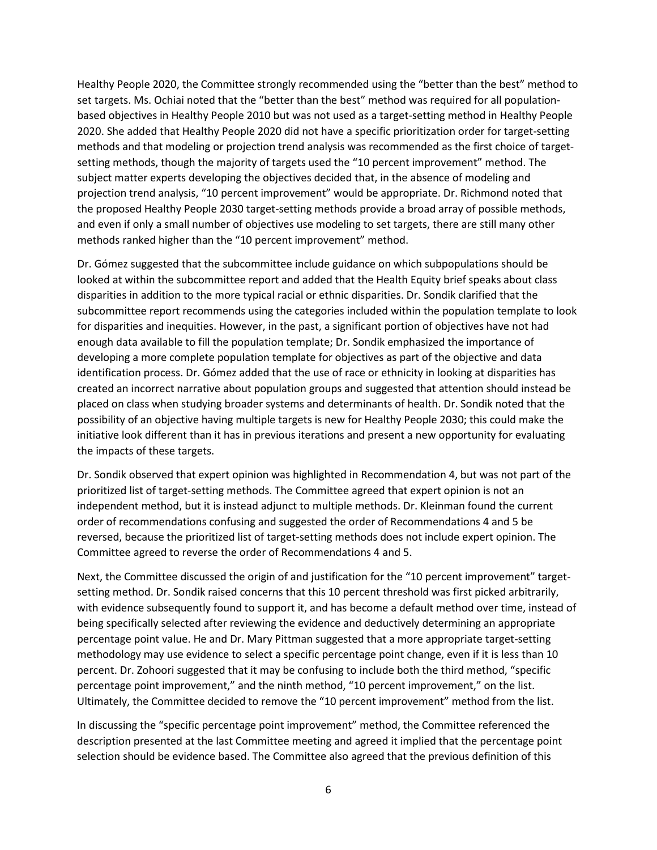Healthy People 2020, the Committee strongly recommended using the "better than the best" method to set targets. Ms. Ochiai noted that the "better than the best" method was required for all populationbased objectives in Healthy People 2010 but was not used as a target-setting method in Healthy People 2020. She added that Healthy People 2020 did not have a specific prioritization order for target-setting methods and that modeling or projection trend analysis was recommended as the first choice of targetsetting methods, though the majority of targets used the "10 percent improvement" method. The subject matter experts developing the objectives decided that, in the absence of modeling and projection trend analysis, "10 percent improvement" would be appropriate. Dr. Richmond noted that the proposed Healthy People 2030 target-setting methods provide a broad array of possible methods, and even if only a small number of objectives use modeling to set targets, there are still many other methods ranked higher than the "10 percent improvement" method.

Dr. Gómez suggested that the subcommittee include guidance on which subpopulations should be looked at within the subcommittee report and added that the Health Equity brief speaks about class disparities in addition to the more typical racial or ethnic disparities. Dr. Sondik clarified that the subcommittee report recommends using the categories included within the population template to look for disparities and inequities. However, in the past, a significant portion of objectives have not had enough data available to fill the population template; Dr. Sondik emphasized the importance of developing a more complete population template for objectives as part of the objective and data identification process. Dr. Gómez added that the use of race or ethnicity in looking at disparities has created an incorrect narrative about population groups and suggested that attention should instead be placed on class when studying broader systems and determinants of health. Dr. Sondik noted that the possibility of an objective having multiple targets is new for Healthy People 2030; this could make the initiative look different than it has in previous iterations and present a new opportunity for evaluating the impacts of these targets.

Dr. Sondik observed that expert opinion was highlighted in Recommendation 4, but was not part of the prioritized list of target-setting methods. The Committee agreed that expert opinion is not an independent method, but it is instead adjunct to multiple methods. Dr. Kleinman found the current order of recommendations confusing and suggested the order of Recommendations 4 and 5 be reversed, because the prioritized list of target-setting methods does not include expert opinion. The Committee agreed to reverse the order of Recommendations 4 and 5.

Next, the Committee discussed the origin of and justification for the "10 percent improvement" targetsetting method. Dr. Sondik raised concerns that this 10 percent threshold was first picked arbitrarily, with evidence subsequently found to support it, and has become a default method over time, instead of being specifically selected after reviewing the evidence and deductively determining an appropriate percentage point value. He and Dr. Mary Pittman suggested that a more appropriate target-setting methodology may use evidence to select a specific percentage point change, even if it is less than 10 percent. Dr. Zohoori suggested that it may be confusing to include both the third method, "specific percentage point improvement," and the ninth method, "10 percent improvement," on the list. Ultimately, the Committee decided to remove the "10 percent improvement" method from the list.

In discussing the "specific percentage point improvement" method, the Committee referenced the description presented at the last Committee meeting and agreed it implied that the percentage point selection should be evidence based. The Committee also agreed that the previous definition of this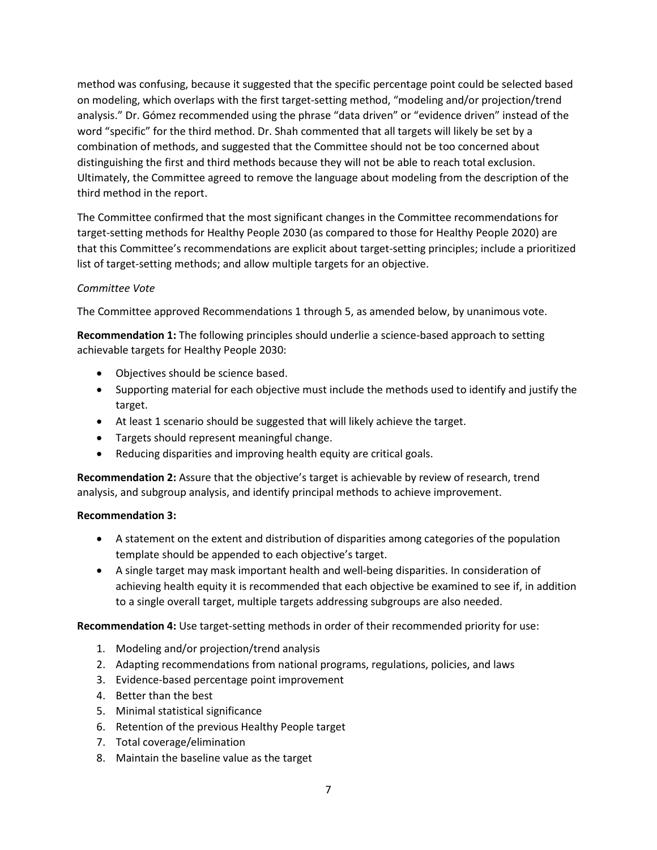method was confusing, because it suggested that the specific percentage point could be selected based on modeling, which overlaps with the first target-setting method, "modeling and/or projection/trend analysis." Dr. Gómez recommended using the phrase "data driven" or "evidence driven" instead of the word "specific" for the third method. Dr. Shah commented that all targets will likely be set by a combination of methods, and suggested that the Committee should not be too concerned about distinguishing the first and third methods because they will not be able to reach total exclusion. Ultimately, the Committee agreed to remove the language about modeling from the description of the third method in the report.

The Committee confirmed that the most significant changes in the Committee recommendations for target-setting methods for Healthy People 2030 (as compared to those for Healthy People 2020) are that this Committee's recommendations are explicit about target-setting principles; include a prioritized list of target-setting methods; and allow multiple targets for an objective.

#### *Committee Vote*

The Committee approved Recommendations 1 through 5, as amended below, by unanimous vote.

**Recommendation 1:** The following principles should underlie a science-based approach to setting achievable targets for Healthy People 2030:

- Objectives should be science based.
- Supporting material for each objective must include the methods used to identify and justify the target.
- At least 1 scenario should be suggested that will likely achieve the target.
- Targets should represent meaningful change.
- Reducing disparities and improving health equity are critical goals.

**Recommendation 2:** Assure that the objective's target is achievable by review of research, trend analysis, and subgroup analysis, and identify principal methods to achieve improvement.

#### **Recommendation 3:**

- A statement on the extent and distribution of disparities among categories of the population template should be appended to each objective's target.
- A single target may mask important health and well-being disparities. In consideration of achieving health equity it is recommended that each objective be examined to see if, in addition to a single overall target, multiple targets addressing subgroups are also needed.

**Recommendation 4:** Use target-setting methods in order of their recommended priority for use:

- 1. Modeling and/or projection/trend analysis
- 2. Adapting recommendations from national programs, regulations, policies, and laws
- 3. Evidence-based percentage point improvement
- 4. Better than the best
- 5. Minimal statistical significance
- 6. Retention of the previous Healthy People target
- 7. Total coverage/elimination
- 8. Maintain the baseline value as the target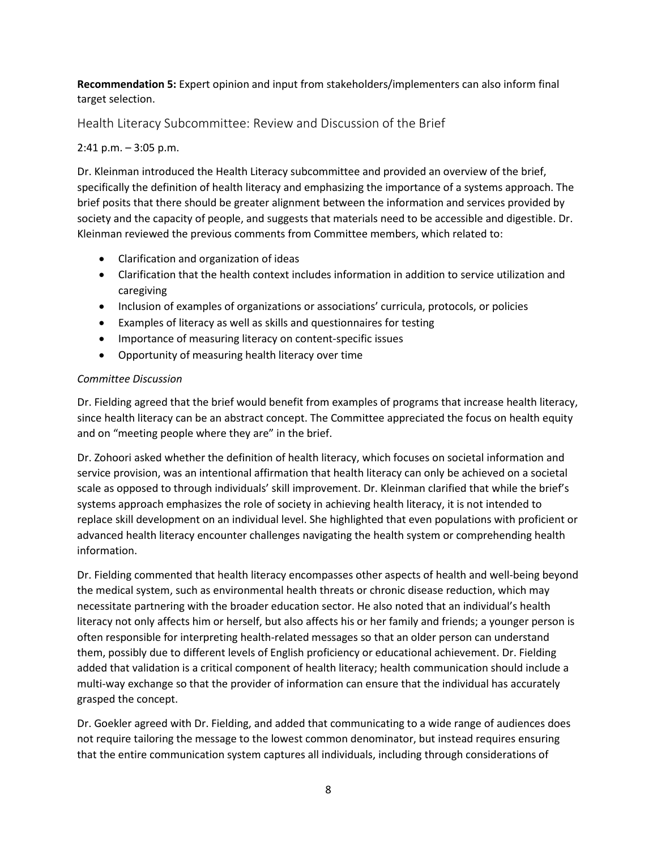**Recommendation 5:** Expert opinion and input from stakeholders/implementers can also inform final target selection.

Health Literacy Subcommittee: Review and Discussion of the Brief

## 2:41 p.m. – 3:05 p.m.

Dr. Kleinman introduced the Health Literacy subcommittee and provided an overview of the brief, specifically the definition of health literacy and emphasizing the importance of a systems approach. The brief posits that there should be greater alignment between the information and services provided by society and the capacity of people, and suggests that materials need to be accessible and digestible. Dr. Kleinman reviewed the previous comments from Committee members, which related to:

- Clarification and organization of ideas
- Clarification that the health context includes information in addition to service utilization and caregiving
- Inclusion of examples of organizations or associations' curricula, protocols, or policies
- Examples of literacy as well as skills and questionnaires for testing
- Importance of measuring literacy on content-specific issues
- Opportunity of measuring health literacy over time

## *Committee Discussion*

Dr. Fielding agreed that the brief would benefit from examples of programs that increase health literacy, since health literacy can be an abstract concept. The Committee appreciated the focus on health equity and on "meeting people where they are" in the brief.

Dr. Zohoori asked whether the definition of health literacy, which focuses on societal information and service provision, was an intentional affirmation that health literacy can only be achieved on a societal scale as opposed to through individuals' skill improvement. Dr. Kleinman clarified that while the brief's systems approach emphasizes the role of society in achieving health literacy, it is not intended to replace skill development on an individual level. She highlighted that even populations with proficient or advanced health literacy encounter challenges navigating the health system or comprehending health information.

Dr. Fielding commented that health literacy encompasses other aspects of health and well-being beyond the medical system, such as environmental health threats or chronic disease reduction, which may necessitate partnering with the broader education sector. He also noted that an individual's health literacy not only affects him or herself, but also affects his or her family and friends; a younger person is often responsible for interpreting health-related messages so that an older person can understand them, possibly due to different levels of English proficiency or educational achievement. Dr. Fielding added that validation is a critical component of health literacy; health communication should include a multi-way exchange so that the provider of information can ensure that the individual has accurately grasped the concept.

Dr. Goekler agreed with Dr. Fielding, and added that communicating to a wide range of audiences does not require tailoring the message to the lowest common denominator, but instead requires ensuring that the entire communication system captures all individuals, including through considerations of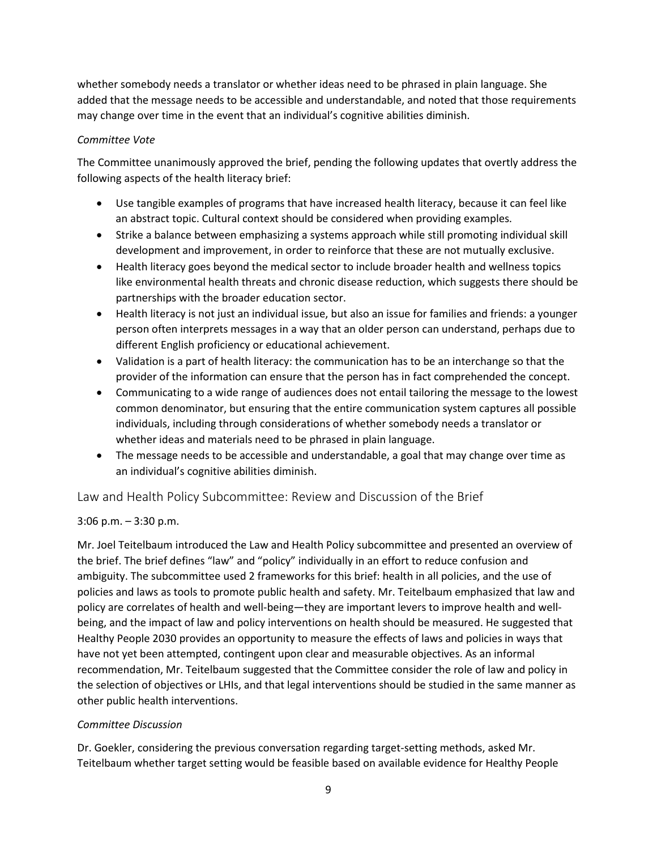whether somebody needs a translator or whether ideas need to be phrased in plain language. She added that the message needs to be accessible and understandable, and noted that those requirements may change over time in the event that an individual's cognitive abilities diminish.

### *Committee Vote*

The Committee unanimously approved the brief, pending the following updates that overtly address the following aspects of the health literacy brief:

- Use tangible examples of programs that have increased health literacy, because it can feel like an abstract topic. Cultural context should be considered when providing examples.
- Strike a balance between emphasizing a systems approach while still promoting individual skill development and improvement, in order to reinforce that these are not mutually exclusive.
- Health literacy goes beyond the medical sector to include broader health and wellness topics like environmental health threats and chronic disease reduction, which suggests there should be partnerships with the broader education sector.
- Health literacy is not just an individual issue, but also an issue for families and friends: a younger person often interprets messages in a way that an older person can understand, perhaps due to different English proficiency or educational achievement.
- Validation is a part of health literacy: the communication has to be an interchange so that the provider of the information can ensure that the person has in fact comprehended the concept.
- Communicating to a wide range of audiences does not entail tailoring the message to the lowest common denominator, but ensuring that the entire communication system captures all possible individuals, including through considerations of whether somebody needs a translator or whether ideas and materials need to be phrased in plain language.
- The message needs to be accessible and understandable, a goal that may change over time as an individual's cognitive abilities diminish.

## Law and Health Policy Subcommittee: Review and Discussion of the Brief

## 3:06 p.m. – 3:30 p.m.

Mr. Joel Teitelbaum introduced the Law and Health Policy subcommittee and presented an overview of the brief. The brief defines "law" and "policy" individually in an effort to reduce confusion and ambiguity. The subcommittee used 2 frameworks for this brief: health in all policies, and the use of policies and laws as tools to promote public health and safety. Mr. Teitelbaum emphasized that law and policy are correlates of health and well-being—they are important levers to improve health and wellbeing, and the impact of law and policy interventions on health should be measured. He suggested that Healthy People 2030 provides an opportunity to measure the effects of laws and policies in ways that have not yet been attempted, contingent upon clear and measurable objectives. As an informal recommendation, Mr. Teitelbaum suggested that the Committee consider the role of law and policy in the selection of objectives or LHIs, and that legal interventions should be studied in the same manner as other public health interventions.

#### *Committee Discussion*

Dr. Goekler, considering the previous conversation regarding target-setting methods, asked Mr. Teitelbaum whether target setting would be feasible based on available evidence for Healthy People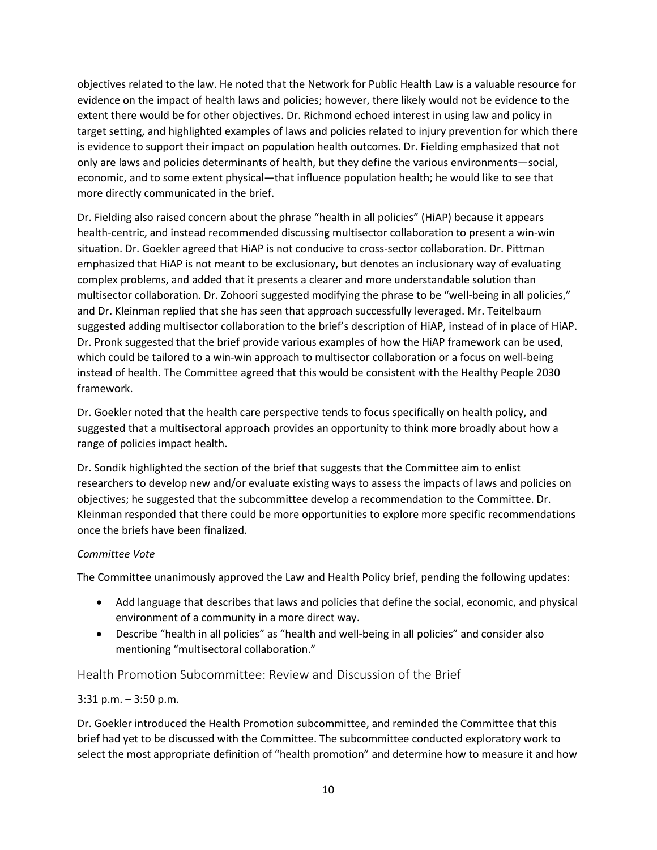objectives related to the law. He noted that the Network for Public Health Law is a valuable resource for evidence on the impact of health laws and policies; however, there likely would not be evidence to the extent there would be for other objectives. Dr. Richmond echoed interest in using law and policy in target setting, and highlighted examples of laws and policies related to injury prevention for which there is evidence to support their impact on population health outcomes. Dr. Fielding emphasized that not only are laws and policies determinants of health, but they define the various environments—social, economic, and to some extent physical—that influence population health; he would like to see that more directly communicated in the brief.

Dr. Fielding also raised concern about the phrase "health in all policies" (HiAP) because it appears health-centric, and instead recommended discussing multisector collaboration to present a win-win situation. Dr. Goekler agreed that HiAP is not conducive to cross-sector collaboration. Dr. Pittman emphasized that HiAP is not meant to be exclusionary, but denotes an inclusionary way of evaluating complex problems, and added that it presents a clearer and more understandable solution than multisector collaboration. Dr. Zohoori suggested modifying the phrase to be "well-being in all policies," and Dr. Kleinman replied that she has seen that approach successfully leveraged. Mr. Teitelbaum suggested adding multisector collaboration to the brief's description of HiAP, instead of in place of HiAP. Dr. Pronk suggested that the brief provide various examples of how the HiAP framework can be used, which could be tailored to a win-win approach to multisector collaboration or a focus on well-being instead of health. The Committee agreed that this would be consistent with the Healthy People 2030 framework.

Dr. Goekler noted that the health care perspective tends to focus specifically on health policy, and suggested that a multisectoral approach provides an opportunity to think more broadly about how a range of policies impact health.

Dr. Sondik highlighted the section of the brief that suggests that the Committee aim to enlist researchers to develop new and/or evaluate existing ways to assess the impacts of laws and policies on objectives; he suggested that the subcommittee develop a recommendation to the Committee. Dr. Kleinman responded that there could be more opportunities to explore more specific recommendations once the briefs have been finalized.

#### *Committee Vote*

The Committee unanimously approved the Law and Health Policy brief, pending the following updates:

- Add language that describes that laws and policies that define the social, economic, and physical environment of a community in a more direct way.
- Describe "health in all policies" as "health and well-being in all policies" and consider also mentioning "multisectoral collaboration."

## Health Promotion Subcommittee: Review and Discussion of the Brief

## 3:31 p.m. – 3:50 p.m.

Dr. Goekler introduced the Health Promotion subcommittee, and reminded the Committee that this brief had yet to be discussed with the Committee. The subcommittee conducted exploratory work to select the most appropriate definition of "health promotion" and determine how to measure it and how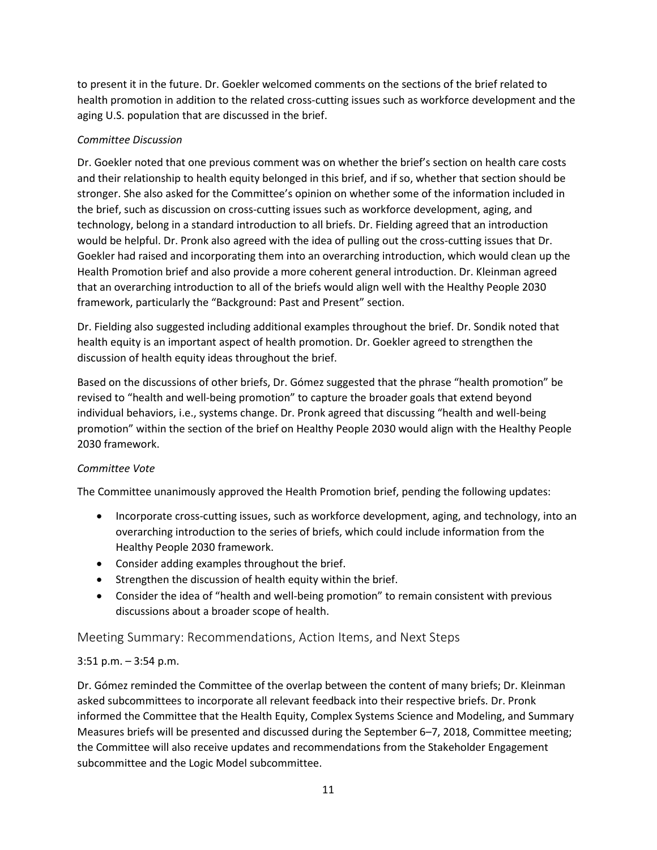to present it in the future. Dr. Goekler welcomed comments on the sections of the brief related to health promotion in addition to the related cross-cutting issues such as workforce development and the aging U.S. population that are discussed in the brief.

## *Committee Discussion*

Dr. Goekler noted that one previous comment was on whether the brief's section on health care costs and their relationship to health equity belonged in this brief, and if so, whether that section should be stronger. She also asked for the Committee's opinion on whether some of the information included in the brief, such as discussion on cross-cutting issues such as workforce development, aging, and technology, belong in a standard introduction to all briefs. Dr. Fielding agreed that an introduction would be helpful. Dr. Pronk also agreed with the idea of pulling out the cross-cutting issues that Dr. Goekler had raised and incorporating them into an overarching introduction, which would clean up the Health Promotion brief and also provide a more coherent general introduction. Dr. Kleinman agreed that an overarching introduction to all of the briefs would align well with the Healthy People 2030 framework, particularly the "Background: Past and Present" section.

Dr. Fielding also suggested including additional examples throughout the brief. Dr. Sondik noted that health equity is an important aspect of health promotion. Dr. Goekler agreed to strengthen the discussion of health equity ideas throughout the brief.

Based on the discussions of other briefs, Dr. Gómez suggested that the phrase "health promotion" be revised to "health and well-being promotion" to capture the broader goals that extend beyond individual behaviors, i.e., systems change. Dr. Pronk agreed that discussing "health and well-being promotion" within the section of the brief on Healthy People 2030 would align with the Healthy People 2030 framework.

# *Committee Vote*

The Committee unanimously approved the Health Promotion brief, pending the following updates:

- Incorporate cross-cutting issues, such as workforce development, aging, and technology, into an overarching introduction to the series of briefs, which could include information from the Healthy People 2030 framework.
- Consider adding examples throughout the brief.
- Strengthen the discussion of health equity within the brief.
- Consider the idea of "health and well-being promotion" to remain consistent with previous discussions about a broader scope of health.

# Meeting Summary: Recommendations, Action Items, and Next Steps

# 3:51 p.m. – 3:54 p.m.

Dr. Gómez reminded the Committee of the overlap between the content of many briefs; Dr. Kleinman asked subcommittees to incorporate all relevant feedback into their respective briefs. Dr. Pronk informed the Committee that the Health Equity, Complex Systems Science and Modeling, and Summary Measures briefs will be presented and discussed during the September 6–7, 2018, Committee meeting; the Committee will also receive updates and recommendations from the Stakeholder Engagement subcommittee and the Logic Model subcommittee.